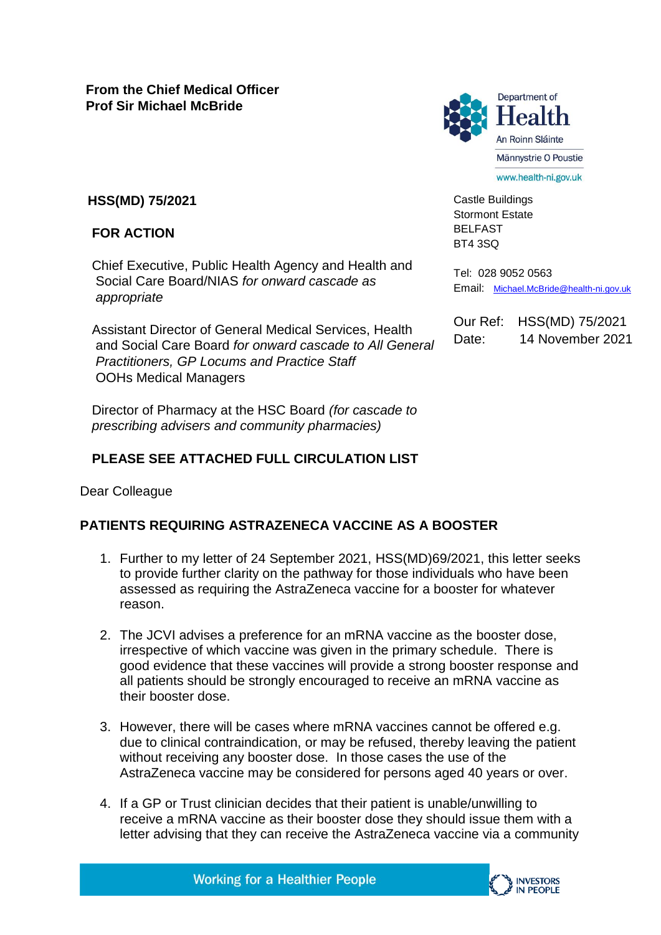

Castle Buildings Stormont Estate BELFAST BT4 3SQ

Tel: 028 9052 0563 Email: [Michael.McBride@health-ni.gov.uk](mailto:Michael.McBride@health-ni.gov.uk)

Our Ref: HSS(MD) 75/2021 Date: 14 November 2021

**HSS(MD) 75/2021**

## **FOR ACTION**

Chief Executive, Public Health Agency and Health and Social Care Board/NIAS *for onward cascade as appropriate*

Assistant Director of General Medical Services, Health and Social Care Board *for onward cascade to All General Practitioners, GP Locums and Practice Staff*  OOHs Medical Managers

Director of Pharmacy at the HSC Board *(for cascade to prescribing advisers and community pharmacies)*

## **PLEASE SEE ATTACHED FULL CIRCULATION LIST**

Dear Colleague

## **PATIENTS REQUIRING ASTRAZENECA VACCINE AS A BOOSTER**

- 1. Further to my letter of 24 September 2021, HSS(MD)69/2021, this letter seeks to provide further clarity on the pathway for those individuals who have been assessed as requiring the AstraZeneca vaccine for a booster for whatever reason.
- 2. The JCVI advises a preference for an mRNA vaccine as the booster dose, irrespective of which vaccine was given in the primary schedule. There is good evidence that these vaccines will provide a strong booster response and all patients should be strongly encouraged to receive an mRNA vaccine as their booster dose.
- 3. However, there will be cases where mRNA vaccines cannot be offered e.g. due to clinical contraindication, or may be refused, thereby leaving the patient without receiving any booster dose. In those cases the use of the AstraZeneca vaccine may be considered for persons aged 40 years or over.
- 4. If a GP or Trust clinician decides that their patient is unable/unwilling to receive a mRNA vaccine as their booster dose they should issue them with a letter advising that they can receive the AstraZeneca vaccine via a community

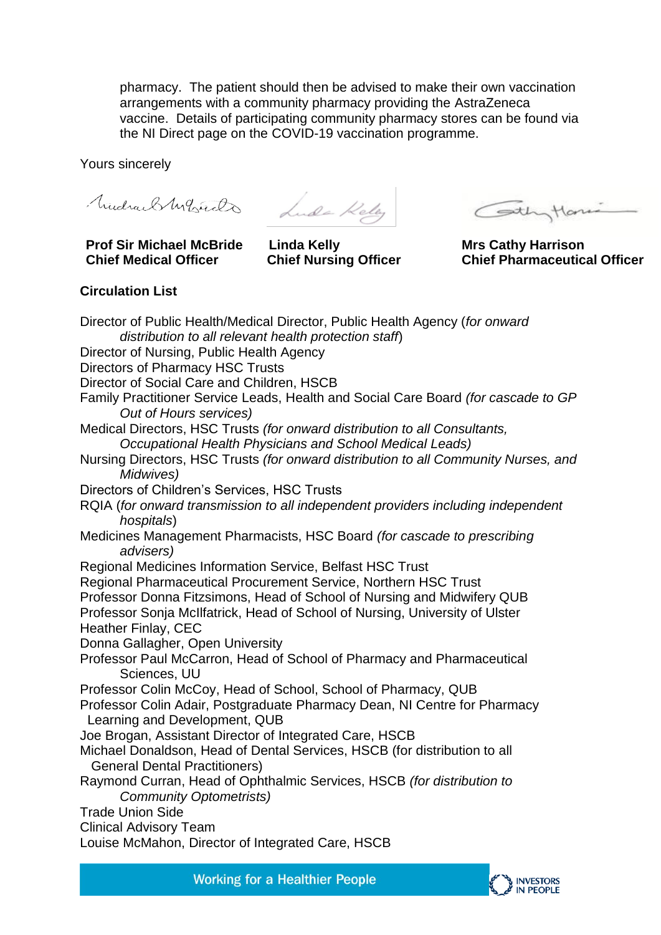pharmacy. The patient should then be advised to make their own vaccination arrangements with a community pharmacy providing the AstraZeneca vaccine. Details of participating community pharmacy stores can be found via the NI Direct page on the COVID-19 vaccination programme.

Yours sincerely

**Prof Sir Michael McBride Chief Medical Officer**

Mudrael Montando Lude Kelly

**Linda Kelly Chief Nursing Officer** 

Cothytone

**Mrs Cathy Harrison Chief Pharmaceutical Officer**

## **Circulation List**

| Director of Public Health/Medical Director, Public Health Agency (for onward                                                           |
|----------------------------------------------------------------------------------------------------------------------------------------|
| distribution to all relevant health protection staff)                                                                                  |
| Director of Nursing, Public Health Agency                                                                                              |
| <b>Directors of Pharmacy HSC Trusts</b>                                                                                                |
| Director of Social Care and Children, HSCB                                                                                             |
| Family Practitioner Service Leads, Health and Social Care Board (for cascade to GP<br>Out of Hours services)                           |
| Medical Directors, HSC Trusts (for onward distribution to all Consultants,<br>Occupational Health Physicians and School Medical Leads) |
| Nursing Directors, HSC Trusts (for onward distribution to all Community Nurses, and<br>Midwives)                                       |
| Directors of Children's Services, HSC Trusts                                                                                           |
| RQIA (for onward transmission to all independent providers including independent<br>hospitals)                                         |
| Medicines Management Pharmacists, HSC Board (for cascade to prescribing<br>advisers)                                                   |
| Regional Medicines Information Service, Belfast HSC Trust                                                                              |
| Regional Pharmaceutical Procurement Service, Northern HSC Trust                                                                        |
| Professor Donna Fitzsimons, Head of School of Nursing and Midwifery QUB                                                                |
| Professor Sonja McIlfatrick, Head of School of Nursing, University of Ulster                                                           |
| <b>Heather Finlay, CEC</b>                                                                                                             |
| Donna Gallagher, Open University                                                                                                       |
| Professor Paul McCarron, Head of School of Pharmacy and Pharmaceutical<br>Sciences, UU                                                 |
| Professor Colin McCoy, Head of School, School of Pharmacy, QUB                                                                         |
| Professor Colin Adair, Postgraduate Pharmacy Dean, NI Centre for Pharmacy<br>Learning and Development, QUB                             |
| Joe Brogan, Assistant Director of Integrated Care, HSCB                                                                                |
| Michael Donaldson, Head of Dental Services, HSCB (for distribution to all<br><b>General Dental Practitioners)</b>                      |
| Raymond Curran, Head of Ophthalmic Services, HSCB (for distribution to<br><b>Community Optometrists)</b>                               |
| <b>Trade Union Side</b>                                                                                                                |
| <b>Clinical Advisory Team</b>                                                                                                          |
| Louise McMahon, Director of Integrated Care, HSCB                                                                                      |
|                                                                                                                                        |

**Working for a Healthier People**